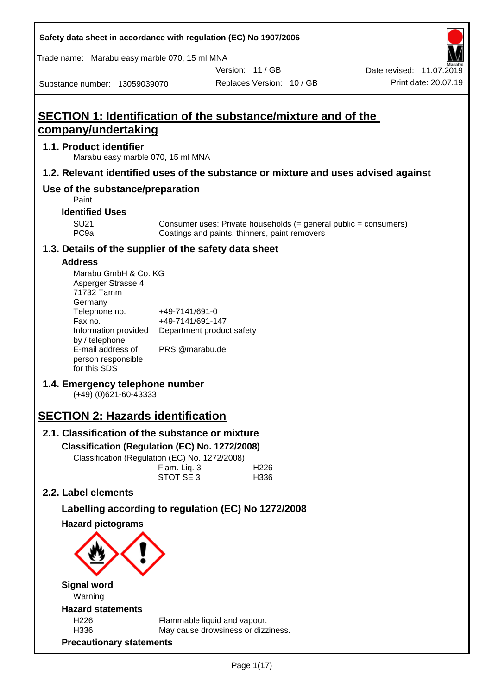| Safety data sheet in accordance with regulation (EC) No 1907/2006 |  |
|-------------------------------------------------------------------|--|
|-------------------------------------------------------------------|--|

Trade name: Marabu easy marble 070, 15 ml MNA

Version: 11 / GB

Substance number: 13059039070

# **SECTION 1: Identification of the substance/mixture and of the company/undertaking**

## **1.1. Product identifier**

Marabu easy marble 070, 15 ml MNA

## **1.2. Relevant identified uses of the substance or mixture and uses advised against**

## **Use of the substance/preparation**

Paint

## **Identified Uses**

SU21 Consumer uses: Private households (= general public = consumers)<br>PC9a Coatings and paints, thinners, paint removers Coatings and paints, thinners, paint removers

## **1.3. Details of the supplier of the safety data sheet**

## **Address**

| Marabu GmbH & Co. KG |                           |
|----------------------|---------------------------|
| Asperger Strasse 4   |                           |
| 71732 Tamm           |                           |
| Germany              |                           |
| Telephone no.        | +49-7141/691-0            |
| Fax no.              | +49-7141/691-147          |
| Information provided | Department product safety |
| by / telephone       |                           |
| E-mail address of    | PRSI@marabu.de            |
| person responsible   |                           |
| for this SDS         |                           |

## **1.4. Emergency telephone number**

(+49) (0)621-60-43333

# **SECTION 2: Hazards identification**

## **2.1. Classification of the substance or mixture**

#### **Classification (Regulation (EC) No. 1272/2008)**

Classification (Regulation (EC) No. 1272/2008)

| Flam. Liq. 3 | H <sub>226</sub> |
|--------------|------------------|
| STOT SE 3    | H336             |

## **2.2. Label elements**

## **Labelling according to regulation (EC) No 1272/2008**

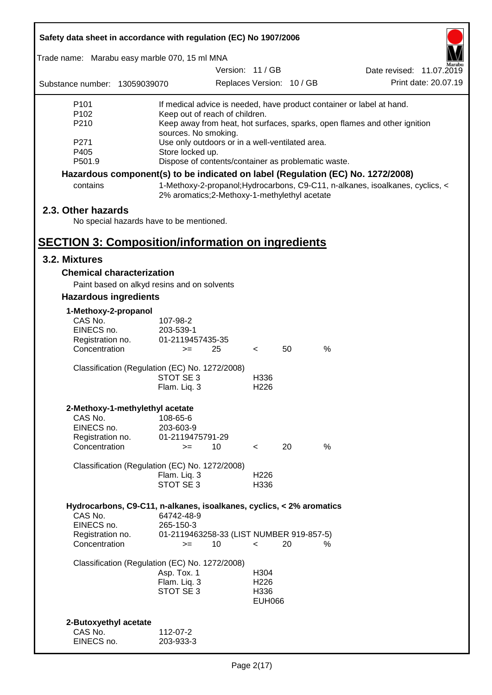| Safety data sheet in accordance with regulation (EC) No 1907/2006               |                                                               |                           |    |                                                                                 |
|---------------------------------------------------------------------------------|---------------------------------------------------------------|---------------------------|----|---------------------------------------------------------------------------------|
| Trade name: Marabu easy marble 070, 15 ml MNA                                   |                                                               |                           |    |                                                                                 |
|                                                                                 |                                                               | Version: 11 / GB          |    | Date revised: 11.07.2019                                                        |
| Substance number: 13059039070                                                   |                                                               | Replaces Version: 10 / GB |    | Print date: 20.07.19                                                            |
| P <sub>101</sub>                                                                |                                                               |                           |    | If medical advice is needed, have product container or label at hand.           |
| P <sub>102</sub>                                                                | Keep out of reach of children.                                |                           |    |                                                                                 |
| P210                                                                            | sources. No smoking.                                          |                           |    | Keep away from heat, hot surfaces, sparks, open flames and other ignition       |
| P271                                                                            | Use only outdoors or in a well-ventilated area.               |                           |    |                                                                                 |
| P405                                                                            | Store locked up.                                              |                           |    |                                                                                 |
| P501.9                                                                          | Dispose of contents/container as problematic waste.           |                           |    |                                                                                 |
|                                                                                 |                                                               |                           |    | Hazardous component(s) to be indicated on label (Regulation (EC) No. 1272/2008) |
| contains                                                                        | 2% aromatics; 2-Methoxy-1-methylethyl acetate                 |                           |    | 1-Methoxy-2-propanol; Hydrocarbons, C9-C11, n-alkanes, isoalkanes, cyclics, <   |
| 2.3. Other hazards                                                              |                                                               |                           |    |                                                                                 |
| No special hazards have to be mentioned.                                        |                                                               |                           |    |                                                                                 |
|                                                                                 |                                                               |                           |    |                                                                                 |
| <b>SECTION 3: Composition/information on ingredients</b>                        |                                                               |                           |    |                                                                                 |
| 3.2. Mixtures                                                                   |                                                               |                           |    |                                                                                 |
| <b>Chemical characterization</b>                                                |                                                               |                           |    |                                                                                 |
|                                                                                 | Paint based on alkyd resins and on solvents                   |                           |    |                                                                                 |
| <b>Hazardous ingredients</b>                                                    |                                                               |                           |    |                                                                                 |
| 1-Methoxy-2-propanol                                                            |                                                               |                           |    |                                                                                 |
| CAS No.                                                                         | 107-98-2                                                      |                           |    |                                                                                 |
| EINECS no.                                                                      | 203-539-1                                                     |                           |    |                                                                                 |
| Registration no.                                                                | 01-2119457435-35                                              |                           |    |                                                                                 |
| Concentration                                                                   | 25<br>$>=$                                                    | $\prec$                   | 50 | $\%$                                                                            |
|                                                                                 | Classification (Regulation (EC) No. 1272/2008)                |                           |    |                                                                                 |
|                                                                                 | STOT SE 3                                                     | H336                      |    |                                                                                 |
|                                                                                 | Flam. Liq. 3                                                  | H <sub>226</sub>          |    |                                                                                 |
| 2-Methoxy-1-methylethyl acetate                                                 |                                                               |                           |    |                                                                                 |
| CAS No.                                                                         | 108-65-6                                                      |                           |    |                                                                                 |
| EINECS no.                                                                      | 203-603-9                                                     |                           |    |                                                                                 |
| Registration no.<br>Concentration                                               | 01-2119475791-29                                              |                           | 20 | %                                                                               |
|                                                                                 | 10<br>$>=$                                                    | $\overline{\phantom{a}}$  |    |                                                                                 |
|                                                                                 | Classification (Regulation (EC) No. 1272/2008)                |                           |    |                                                                                 |
|                                                                                 | Flam. Liq. 3                                                  | H <sub>226</sub>          |    |                                                                                 |
|                                                                                 | STOT SE 3                                                     | H336                      |    |                                                                                 |
|                                                                                 |                                                               |                           |    |                                                                                 |
| Hydrocarbons, C9-C11, n-alkanes, isoalkanes, cyclics, < 2% aromatics<br>CAS No. | 64742-48-9                                                    |                           |    |                                                                                 |
| EINECS no.                                                                      | 265-150-3                                                     |                           |    |                                                                                 |
| Registration no.                                                                | 01-2119463258-33 (LIST NUMBER 919-857-5)                      |                           |    |                                                                                 |
| Concentration                                                                   | 10<br>$>=$                                                    | $\,<\,$                   | 20 | %                                                                               |
|                                                                                 |                                                               |                           |    |                                                                                 |
|                                                                                 | Classification (Regulation (EC) No. 1272/2008)<br>Asp. Tox. 1 | H304                      |    |                                                                                 |
|                                                                                 | Flam. Liq. 3                                                  | H <sub>226</sub>          |    |                                                                                 |
|                                                                                 | STOT SE 3                                                     | H336                      |    |                                                                                 |
|                                                                                 |                                                               | <b>EUH066</b>             |    |                                                                                 |
|                                                                                 |                                                               |                           |    |                                                                                 |
| 2-Butoxyethyl acetate                                                           |                                                               |                           |    |                                                                                 |
| CAS No.                                                                         | 112-07-2                                                      |                           |    |                                                                                 |
| EINECS no.                                                                      | 203-933-3                                                     |                           |    |                                                                                 |

ī

Г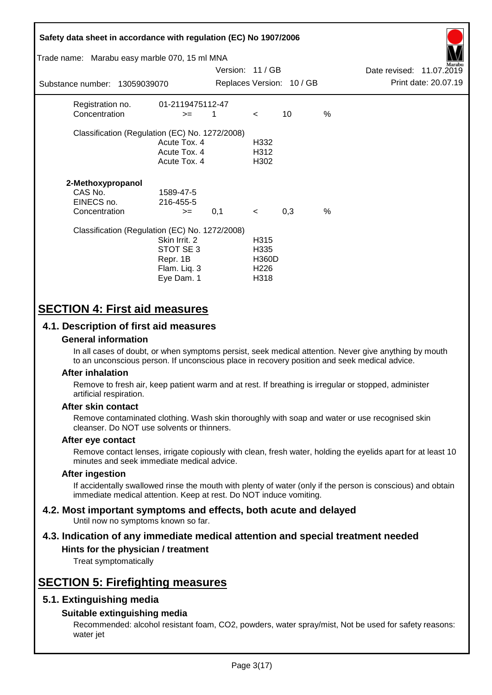| Safety data sheet in accordance with regulation (EC) No 1907/2006<br>Trade name: Marabu easy marble 070, 15 ml MNA |                                                                      | Version: 11 / GB |                                                          |                           |               | Date revised: 11.07.2019 |                      |
|--------------------------------------------------------------------------------------------------------------------|----------------------------------------------------------------------|------------------|----------------------------------------------------------|---------------------------|---------------|--------------------------|----------------------|
| Substance number: 13059039070                                                                                      |                                                                      |                  |                                                          | Replaces Version: 10 / GB |               |                          | Print date: 20.07.19 |
| Registration no.<br>Concentration                                                                                  | 01-2119475112-47<br>$>=$                                             | 1                | $\,<\,$                                                  | 10                        | %             |                          |                      |
| Classification (Regulation (EC) No. 1272/2008)                                                                     | Acute Tox. 4<br>Acute Tox. 4<br>Acute Tox. 4                         |                  | H332<br>H312<br>H <sub>302</sub>                         |                           |               |                          |                      |
| 2-Methoxypropanol<br>CAS No.<br>EINECS no.<br>Concentration                                                        | 1589-47-5<br>216-455-5<br>$>=$                                       | 0,1              | $\prec$                                                  | 0,3                       | $\frac{0}{0}$ |                          |                      |
| Classification (Regulation (EC) No. 1272/2008)                                                                     | Skin Irrit. 2<br>STOT SE 3<br>Repr. 1B<br>Flam. Liq. 3<br>Eye Dam. 1 |                  | H315<br>H335<br><b>H360D</b><br>H <sub>226</sub><br>H318 |                           |               |                          |                      |

# **SECTION 4: First aid measures**

## **4.1. Description of first aid measures**

## **General information**

In all cases of doubt, or when symptoms persist, seek medical attention. Never give anything by mouth to an unconscious person. If unconscious place in recovery position and seek medical advice.

## **After inhalation**

Remove to fresh air, keep patient warm and at rest. If breathing is irregular or stopped, administer artificial respiration.

## **After skin contact**

Remove contaminated clothing. Wash skin thoroughly with soap and water or use recognised skin cleanser. Do NOT use solvents or thinners.

## **After eye contact**

Remove contact lenses, irrigate copiously with clean, fresh water, holding the eyelids apart for at least 10 minutes and seek immediate medical advice.

#### **After ingestion**

If accidentally swallowed rinse the mouth with plenty of water (only if the person is conscious) and obtain immediate medical attention. Keep at rest. Do NOT induce vomiting.

#### **4.2. Most important symptoms and effects, both acute and delayed** Until now no symptoms known so far.

# **4.3. Indication of any immediate medical attention and special treatment needed**

## **Hints for the physician / treatment**

Treat symptomatically

# **SECTION 5: Firefighting measures**

## **5.1. Extinguishing media**

## **Suitable extinguishing media**

Recommended: alcohol resistant foam, CO2, powders, water spray/mist, Not be used for safety reasons: water jet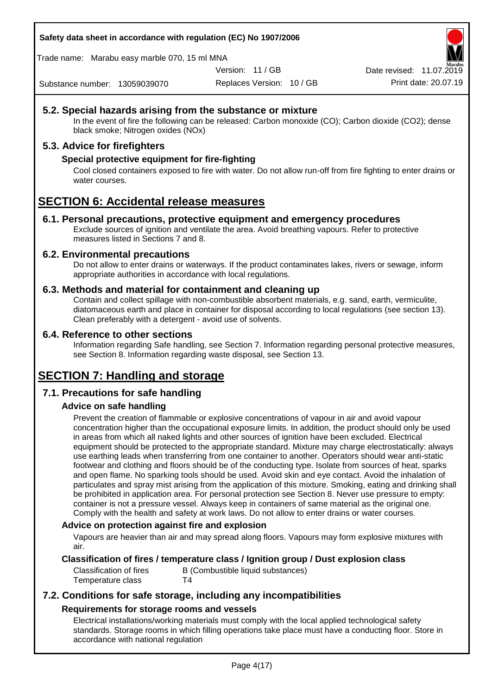**Safety data sheet in accordance with regulation (EC) No 1907/2006**

Trade name: Marabu easy marble 070, 15 ml MNA

Version: 11 / GB

Date revised: 11.07.2019

Substance number: 13059039070

Replaces Version: 10 / GB Print date: 20.07.19

## **5.2. Special hazards arising from the substance or mixture**

In the event of fire the following can be released: Carbon monoxide (CO); Carbon dioxide (CO2); dense black smoke; Nitrogen oxides (NOx)

## **5.3. Advice for firefighters**

## **Special protective equipment for fire-fighting**

Cool closed containers exposed to fire with water. Do not allow run-off from fire fighting to enter drains or water courses.

# **SECTION 6: Accidental release measures**

## **6.1. Personal precautions, protective equipment and emergency procedures**

Exclude sources of ignition and ventilate the area. Avoid breathing vapours. Refer to protective measures listed in Sections 7 and 8.

## **6.2. Environmental precautions**

Do not allow to enter drains or waterways. If the product contaminates lakes, rivers or sewage, inform appropriate authorities in accordance with local regulations.

## **6.3. Methods and material for containment and cleaning up**

Contain and collect spillage with non-combustible absorbent materials, e.g. sand, earth, vermiculite, diatomaceous earth and place in container for disposal according to local regulations (see section 13). Clean preferably with a detergent - avoid use of solvents.

## **6.4. Reference to other sections**

Information regarding Safe handling, see Section 7. Information regarding personal protective measures, see Section 8. Information regarding waste disposal, see Section 13.

# **SECTION 7: Handling and storage**

## **7.1. Precautions for safe handling**

## **Advice on safe handling**

Prevent the creation of flammable or explosive concentrations of vapour in air and avoid vapour concentration higher than the occupational exposure limits. In addition, the product should only be used in areas from which all naked lights and other sources of ignition have been excluded. Electrical equipment should be protected to the appropriate standard. Mixture may charge electrostatically: always use earthing leads when transferring from one container to another. Operators should wear anti-static footwear and clothing and floors should be of the conducting type. Isolate from sources of heat, sparks and open flame. No sparking tools should be used. Avoid skin and eye contact. Avoid the inhalation of particulates and spray mist arising from the application of this mixture. Smoking, eating and drinking shall be prohibited in application area. For personal protection see Section 8. Never use pressure to empty: container is not a pressure vessel. Always keep in containers of same material as the original one. Comply with the health and safety at work laws. Do not allow to enter drains or water courses.

## **Advice on protection against fire and explosion**

Vapours are heavier than air and may spread along floors. Vapours may form explosive mixtures with air.

## **Classification of fires / temperature class / Ignition group / Dust explosion class**

Temperature class T4

Classification of fires B (Combustible liquid substances)

## **7.2. Conditions for safe storage, including any incompatibilities Requirements for storage rooms and vessels**

Electrical installations/working materials must comply with the local applied technological safety standards. Storage rooms in which filling operations take place must have a conducting floor. Store in accordance with national regulation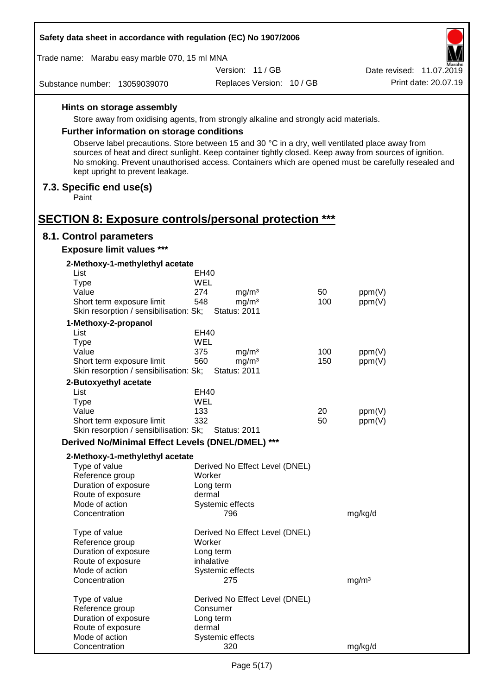| Safety data sheet in accordance with regulation (EC) No 1907/2006 |                                                                                                                                                                                                                                                    |                  |                                          |     |                   |                          |
|-------------------------------------------------------------------|----------------------------------------------------------------------------------------------------------------------------------------------------------------------------------------------------------------------------------------------------|------------------|------------------------------------------|-----|-------------------|--------------------------|
|                                                                   | Trade name: Marabu easy marble 070, 15 ml MNA<br>Aarabu                                                                                                                                                                                            |                  |                                          |     |                   |                          |
|                                                                   |                                                                                                                                                                                                                                                    |                  | Version: 11 / GB                         |     |                   | Date revised: 11.07.2019 |
| Substance number: 13059039070                                     |                                                                                                                                                                                                                                                    |                  | Replaces Version: 10 / GB                |     |                   | Print date: 20.07.19     |
|                                                                   | Hints on storage assembly                                                                                                                                                                                                                          |                  |                                          |     |                   |                          |
|                                                                   | Store away from oxidising agents, from strongly alkaline and strongly acid materials.                                                                                                                                                              |                  |                                          |     |                   |                          |
|                                                                   | <b>Further information on storage conditions</b>                                                                                                                                                                                                   |                  |                                          |     |                   |                          |
|                                                                   | Observe label precautions. Store between 15 and 30 °C in a dry, well ventilated place away from                                                                                                                                                    |                  |                                          |     |                   |                          |
|                                                                   | sources of heat and direct sunlight. Keep container tightly closed. Keep away from sources of ignition.<br>No smoking. Prevent unauthorised access. Containers which are opened must be carefully resealed and<br>kept upright to prevent leakage. |                  |                                          |     |                   |                          |
| 7.3. Specific end use(s)<br>Paint                                 |                                                                                                                                                                                                                                                    |                  |                                          |     |                   |                          |
|                                                                   | <b>SECTION 8: Exposure controls/personal protection ***</b>                                                                                                                                                                                        |                  |                                          |     |                   |                          |
| 8.1. Control parameters                                           |                                                                                                                                                                                                                                                    |                  |                                          |     |                   |                          |
|                                                                   | <b>Exposure limit values ***</b>                                                                                                                                                                                                                   |                  |                                          |     |                   |                          |
| List                                                              | 2-Methoxy-1-methylethyl acetate                                                                                                                                                                                                                    |                  |                                          |     |                   |                          |
| <b>Type</b>                                                       |                                                                                                                                                                                                                                                    | EH40<br>WEL      |                                          |     |                   |                          |
| Value                                                             |                                                                                                                                                                                                                                                    | 274              | mg/m <sup>3</sup>                        | 50  | ppm(V)            |                          |
|                                                                   | Short term exposure limit                                                                                                                                                                                                                          | 548              | mg/m <sup>3</sup>                        | 100 | ppm(V)            |                          |
|                                                                   | Skin resorption / sensibilisation: Sk;                                                                                                                                                                                                             |                  | <b>Status: 2011</b>                      |     |                   |                          |
| 1-Methoxy-2-propanol                                              |                                                                                                                                                                                                                                                    |                  |                                          |     |                   |                          |
| List                                                              |                                                                                                                                                                                                                                                    | EH40             |                                          |     |                   |                          |
| <b>Type</b>                                                       |                                                                                                                                                                                                                                                    | WEL              |                                          |     |                   |                          |
| Value                                                             |                                                                                                                                                                                                                                                    | 375              | mg/m <sup>3</sup>                        | 100 | ppm(V)            |                          |
|                                                                   | Short term exposure limit<br>Skin resorption / sensibilisation: Sk;                                                                                                                                                                                | 560              | mg/m <sup>3</sup><br><b>Status: 2011</b> | 150 | ppm(V)            |                          |
| 2-Butoxyethyl acetate                                             |                                                                                                                                                                                                                                                    |                  |                                          |     |                   |                          |
| List                                                              |                                                                                                                                                                                                                                                    | EH40             |                                          |     |                   |                          |
| Type                                                              |                                                                                                                                                                                                                                                    | WEL              |                                          |     |                   |                          |
| Value                                                             |                                                                                                                                                                                                                                                    | 133              |                                          | 20  | ppm(V)            |                          |
|                                                                   | Short term exposure limit<br>Skin resorption / sensibilisation: Sk;                                                                                                                                                                                | 332              | <b>Status: 2011</b>                      | 50  | ppm(V)            |                          |
|                                                                   | Derived No/Minimal Effect Levels (DNEL/DMEL) ***                                                                                                                                                                                                   |                  |                                          |     |                   |                          |
|                                                                   |                                                                                                                                                                                                                                                    |                  |                                          |     |                   |                          |
| Type of value                                                     | 2-Methoxy-1-methylethyl acetate                                                                                                                                                                                                                    |                  |                                          |     |                   |                          |
| Reference group                                                   |                                                                                                                                                                                                                                                    | Worker           | Derived No Effect Level (DNEL)           |     |                   |                          |
| Duration of exposure                                              |                                                                                                                                                                                                                                                    | Long term        |                                          |     |                   |                          |
| Route of exposure                                                 |                                                                                                                                                                                                                                                    | dermal           |                                          |     |                   |                          |
| Mode of action                                                    |                                                                                                                                                                                                                                                    | Systemic effects |                                          |     |                   |                          |
| Concentration                                                     |                                                                                                                                                                                                                                                    | 796              |                                          |     | mg/kg/d           |                          |
| Type of value                                                     |                                                                                                                                                                                                                                                    |                  | Derived No Effect Level (DNEL)           |     |                   |                          |
| Reference group                                                   |                                                                                                                                                                                                                                                    | Worker           |                                          |     |                   |                          |
| Duration of exposure                                              |                                                                                                                                                                                                                                                    | Long term        |                                          |     |                   |                          |
| Route of exposure                                                 |                                                                                                                                                                                                                                                    | inhalative       |                                          |     |                   |                          |
| Mode of action                                                    |                                                                                                                                                                                                                                                    | Systemic effects |                                          |     |                   |                          |
| Concentration                                                     |                                                                                                                                                                                                                                                    | 275              |                                          |     | mg/m <sup>3</sup> |                          |
| Type of value                                                     |                                                                                                                                                                                                                                                    |                  | Derived No Effect Level (DNEL)           |     |                   |                          |
| Reference group                                                   |                                                                                                                                                                                                                                                    | Consumer         |                                          |     |                   |                          |
| Duration of exposure                                              |                                                                                                                                                                                                                                                    | Long term        |                                          |     |                   |                          |
| Route of exposure                                                 |                                                                                                                                                                                                                                                    | dermal           |                                          |     |                   |                          |
| Mode of action                                                    |                                                                                                                                                                                                                                                    | Systemic effects |                                          |     |                   |                          |
| Concentration                                                     |                                                                                                                                                                                                                                                    | 320              |                                          |     | mg/kg/d           |                          |

Г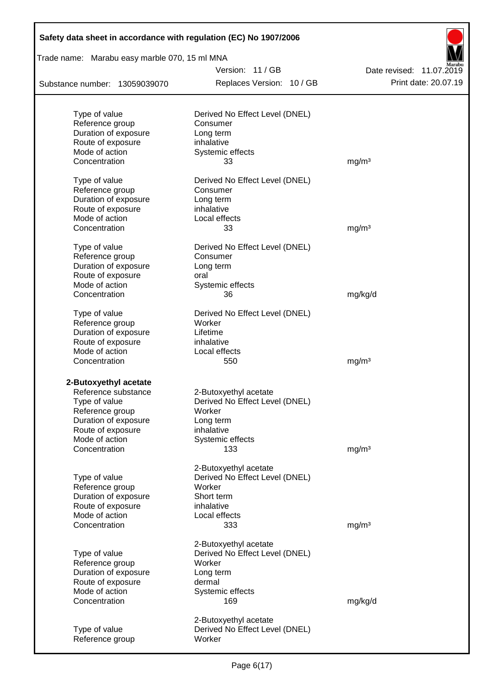| Safety data sheet in accordance with regulation (EC) No 1907/2006 |                                                         |                          |
|-------------------------------------------------------------------|---------------------------------------------------------|--------------------------|
| Trade name: Marabu easy marble 070, 15 ml MNA                     |                                                         |                          |
|                                                                   | Version: 11 / GB                                        | Date revised: 11.07.2019 |
| Substance number: 13059039070                                     | Replaces Version: 10 / GB                               | Print date: 20.07.19     |
|                                                                   |                                                         |                          |
| Type of value                                                     | Derived No Effect Level (DNEL)                          |                          |
| Reference group                                                   | Consumer                                                |                          |
| Duration of exposure                                              | Long term                                               |                          |
| Route of exposure<br>Mode of action                               | inhalative<br>Systemic effects                          |                          |
| Concentration                                                     | 33                                                      | mg/m <sup>3</sup>        |
|                                                                   |                                                         |                          |
| Type of value                                                     | Derived No Effect Level (DNEL)                          |                          |
| Reference group                                                   | Consumer                                                |                          |
| Duration of exposure                                              | Long term                                               |                          |
| Route of exposure                                                 | inhalative                                              |                          |
| Mode of action                                                    | Local effects                                           |                          |
| Concentration                                                     | 33                                                      | mg/m <sup>3</sup>        |
| Type of value                                                     | Derived No Effect Level (DNEL)                          |                          |
| Reference group                                                   | Consumer                                                |                          |
| Duration of exposure                                              | Long term                                               |                          |
| Route of exposure                                                 | oral                                                    |                          |
| Mode of action                                                    | Systemic effects                                        |                          |
| Concentration                                                     | 36                                                      | mg/kg/d                  |
| Type of value                                                     | Derived No Effect Level (DNEL)                          |                          |
| Reference group                                                   | Worker                                                  |                          |
| Duration of exposure                                              | Lifetime                                                |                          |
| Route of exposure                                                 | inhalative                                              |                          |
| Mode of action                                                    | Local effects                                           |                          |
| Concentration                                                     | 550                                                     | mg/m <sup>3</sup>        |
|                                                                   |                                                         |                          |
| 2-Butoxyethyl acetate                                             |                                                         |                          |
| Reference substance                                               | 2-Butoxyethyl acetate                                   |                          |
| Type of value                                                     | Derived No Effect Level (DNEL)                          |                          |
| Reference group                                                   | Worker                                                  |                          |
| Duration of exposure                                              | Long term                                               |                          |
| Route of exposure                                                 | inhalative                                              |                          |
| Mode of action<br>Concentration                                   | Systemic effects                                        |                          |
|                                                                   | 133                                                     | mg/m <sup>3</sup>        |
|                                                                   | 2-Butoxyethyl acetate                                   |                          |
| Type of value                                                     | Derived No Effect Level (DNEL)                          |                          |
| Reference group                                                   | Worker                                                  |                          |
| Duration of exposure                                              | Short term                                              |                          |
| Route of exposure                                                 | inhalative                                              |                          |
| Mode of action                                                    | Local effects                                           |                          |
| Concentration                                                     | 333                                                     | mg/m <sup>3</sup>        |
|                                                                   | 2-Butoxyethyl acetate                                   |                          |
| Type of value                                                     | Derived No Effect Level (DNEL)                          |                          |
| Reference group                                                   | Worker                                                  |                          |
| Duration of exposure                                              | Long term                                               |                          |
| Route of exposure                                                 | dermal                                                  |                          |
| Mode of action                                                    | Systemic effects                                        |                          |
| Concentration                                                     | 169                                                     | mg/kg/d                  |
|                                                                   |                                                         |                          |
| Type of value                                                     | 2-Butoxyethyl acetate<br>Derived No Effect Level (DNEL) |                          |
| Reference group                                                   | Worker                                                  |                          |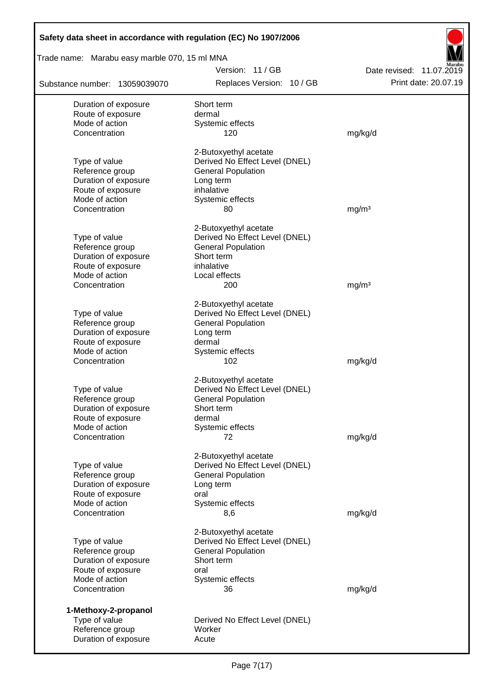| Safety data sheet in accordance with regulation (EC) No 1907/2006 |                                |                          |
|-------------------------------------------------------------------|--------------------------------|--------------------------|
| Trade name: Marabu easy marble 070, 15 ml MNA                     |                                |                          |
|                                                                   | Version: 11/GB                 | Date revised: 11.07.2019 |
| Substance number: 13059039070                                     | Replaces Version: 10 / GB      | Print date: 20.07.19     |
| Duration of exposure                                              | Short term                     |                          |
| Route of exposure                                                 | dermal                         |                          |
| Mode of action                                                    | Systemic effects               |                          |
| Concentration                                                     | 120                            | mg/kg/d                  |
|                                                                   | 2-Butoxyethyl acetate          |                          |
| Type of value                                                     | Derived No Effect Level (DNEL) |                          |
| Reference group                                                   | <b>General Population</b>      |                          |
| Duration of exposure                                              | Long term                      |                          |
| Route of exposure                                                 | inhalative                     |                          |
| Mode of action                                                    | Systemic effects               |                          |
| Concentration                                                     | 80                             | mg/m <sup>3</sup>        |
|                                                                   | 2-Butoxyethyl acetate          |                          |
| Type of value                                                     | Derived No Effect Level (DNEL) |                          |
| Reference group                                                   | <b>General Population</b>      |                          |
| Duration of exposure                                              | Short term                     |                          |
| Route of exposure                                                 | inhalative                     |                          |
| Mode of action                                                    | Local effects                  |                          |
| Concentration                                                     | 200                            | mg/m <sup>3</sup>        |
|                                                                   | 2-Butoxyethyl acetate          |                          |
| Type of value                                                     | Derived No Effect Level (DNEL) |                          |
| Reference group                                                   | <b>General Population</b>      |                          |
| Duration of exposure                                              | Long term                      |                          |
| Route of exposure                                                 | dermal                         |                          |
| Mode of action                                                    | Systemic effects               |                          |
| Concentration                                                     | 102                            | mg/kg/d                  |
|                                                                   | 2-Butoxyethyl acetate          |                          |
| Type of value                                                     | Derived No Effect Level (DNEL) |                          |
| Reference group                                                   | <b>General Population</b>      |                          |
| Duration of exposure                                              | Short term                     |                          |
| Route of exposure                                                 | dermal                         |                          |
| Mode of action                                                    | Systemic effects               |                          |
| Concentration                                                     | 72                             | mg/kg/d                  |
|                                                                   |                                |                          |
|                                                                   | 2-Butoxyethyl acetate          |                          |
| Type of value                                                     | Derived No Effect Level (DNEL) |                          |
| Reference group                                                   | <b>General Population</b>      |                          |
| Duration of exposure                                              | Long term                      |                          |
| Route of exposure                                                 | oral                           |                          |
| Mode of action<br>Concentration                                   | Systemic effects<br>8,6        | mg/kg/d                  |
|                                                                   |                                |                          |
|                                                                   | 2-Butoxyethyl acetate          |                          |
| Type of value                                                     | Derived No Effect Level (DNEL) |                          |
| Reference group                                                   | <b>General Population</b>      |                          |
| Duration of exposure                                              | Short term                     |                          |
| Route of exposure                                                 | oral                           |                          |
| Mode of action                                                    | Systemic effects               |                          |
| Concentration                                                     | 36                             | mg/kg/d                  |
| 1-Methoxy-2-propanol                                              |                                |                          |
| Type of value                                                     | Derived No Effect Level (DNEL) |                          |
| Reference group                                                   | Worker                         |                          |
| Duration of exposure                                              | Acute                          |                          |
|                                                                   |                                |                          |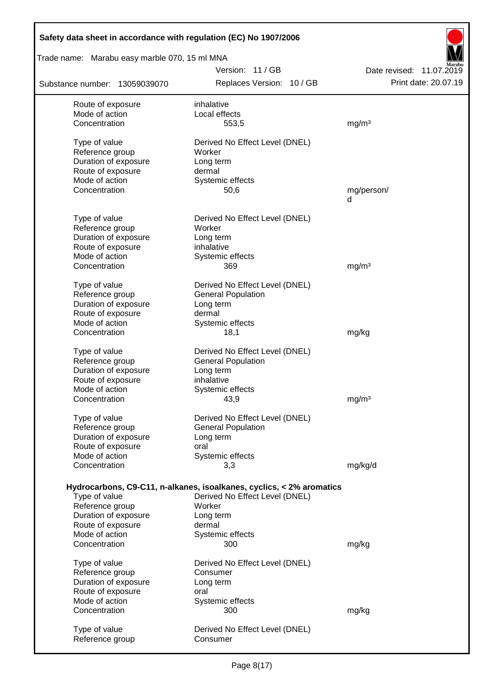| Safety data sheet in accordance with regulation (EC) No 1907/2006 |                                                                      |                          |
|-------------------------------------------------------------------|----------------------------------------------------------------------|--------------------------|
| Trade name: Marabu easy marble 070, 15 ml MNA                     |                                                                      |                          |
|                                                                   | Version: 11/GB                                                       | Date revised: 11.07.2019 |
| Substance number: 13059039070                                     | Replaces Version: 10 / GB                                            | Print date: 20.07.19     |
| Route of exposure                                                 | inhalative                                                           |                          |
| Mode of action                                                    | Local effects                                                        |                          |
| Concentration                                                     | 553,5                                                                | mg/m <sup>3</sup>        |
| Type of value                                                     | Derived No Effect Level (DNEL)                                       |                          |
| Reference group                                                   | Worker                                                               |                          |
| Duration of exposure                                              | Long term                                                            |                          |
| Route of exposure                                                 | dermal                                                               |                          |
| Mode of action                                                    | Systemic effects                                                     |                          |
| Concentration                                                     | 50,6                                                                 | mg/person/               |
|                                                                   |                                                                      | d                        |
| Type of value                                                     | Derived No Effect Level (DNEL)                                       |                          |
| Reference group                                                   | Worker                                                               |                          |
| Duration of exposure                                              | Long term                                                            |                          |
| Route of exposure                                                 | inhalative                                                           |                          |
| Mode of action                                                    | Systemic effects                                                     |                          |
| Concentration                                                     | 369                                                                  | mg/m <sup>3</sup>        |
| Type of value                                                     | Derived No Effect Level (DNEL)                                       |                          |
| Reference group                                                   | <b>General Population</b>                                            |                          |
| Duration of exposure                                              | Long term                                                            |                          |
| Route of exposure                                                 | dermal                                                               |                          |
| Mode of action                                                    | Systemic effects                                                     |                          |
| Concentration                                                     | 18,1                                                                 | mg/kg                    |
| Type of value                                                     | Derived No Effect Level (DNEL)                                       |                          |
| Reference group                                                   | <b>General Population</b>                                            |                          |
| Duration of exposure                                              | Long term                                                            |                          |
| Route of exposure                                                 | inhalative                                                           |                          |
| Mode of action                                                    | Systemic effects                                                     |                          |
| Concentration                                                     | 43,9                                                                 | mg/m <sup>3</sup>        |
| Type of value                                                     | Derived No Effect Level (DNEL)                                       |                          |
| Reference group                                                   | <b>General Population</b>                                            |                          |
| Duration of exposure                                              | Long term                                                            |                          |
| Route of exposure                                                 | oral                                                                 |                          |
| Mode of action                                                    | Systemic effects                                                     |                          |
| Concentration                                                     | 3,3                                                                  | mg/kg/d                  |
|                                                                   |                                                                      |                          |
|                                                                   | Hydrocarbons, C9-C11, n-alkanes, isoalkanes, cyclics, < 2% aromatics |                          |
| Type of value                                                     | Derived No Effect Level (DNEL)                                       |                          |
| Reference group                                                   | Worker                                                               |                          |
| Duration of exposure                                              | Long term<br>dermal                                                  |                          |
| Route of exposure<br>Mode of action                               | Systemic effects                                                     |                          |
| Concentration                                                     | 300                                                                  | mg/kg                    |
|                                                                   |                                                                      |                          |
| Type of value                                                     | Derived No Effect Level (DNEL)                                       |                          |
| Reference group                                                   | Consumer                                                             |                          |
| Duration of exposure                                              | Long term                                                            |                          |
| Route of exposure                                                 | oral                                                                 |                          |
| Mode of action                                                    | Systemic effects                                                     |                          |
| Concentration                                                     | 300                                                                  | mg/kg                    |
| Type of value                                                     | Derived No Effect Level (DNEL)                                       |                          |
| Reference group                                                   | Consumer                                                             |                          |
|                                                                   |                                                                      |                          |

 $\mathsf{l}$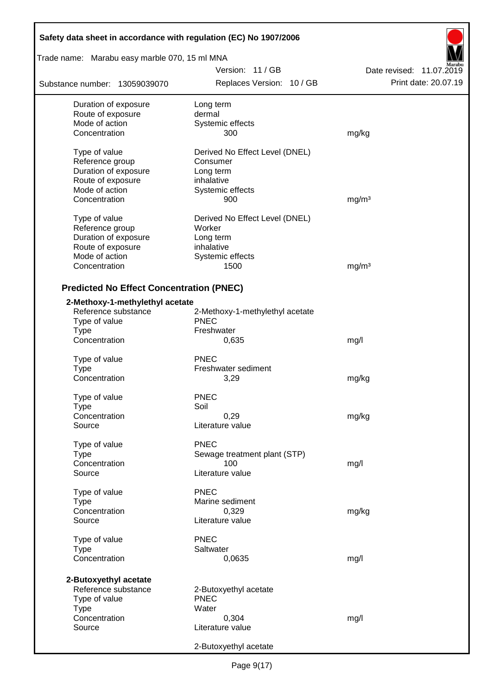| Safety data sheet in accordance with regulation (EC) No 1907/2006 |                                 |                          |  |
|-------------------------------------------------------------------|---------------------------------|--------------------------|--|
| Trade name: Marabu easy marble 070, 15 ml MNA                     |                                 |                          |  |
|                                                                   | Version: 11/GB                  | Date revised: 11.07.2019 |  |
| Substance number: 13059039070                                     | Replaces Version: 10 / GB       | Print date: 20.07.19     |  |
| Duration of exposure                                              | Long term                       |                          |  |
| Route of exposure                                                 | dermal                          |                          |  |
| Mode of action                                                    | Systemic effects                |                          |  |
| Concentration                                                     | 300                             | mg/kg                    |  |
| Type of value                                                     | Derived No Effect Level (DNEL)  |                          |  |
| Reference group                                                   | Consumer                        |                          |  |
| Duration of exposure                                              | Long term                       |                          |  |
| Route of exposure                                                 | inhalative                      |                          |  |
| Mode of action                                                    | Systemic effects                |                          |  |
| Concentration                                                     | 900                             | mg/m <sup>3</sup>        |  |
| Type of value                                                     | Derived No Effect Level (DNEL)  |                          |  |
| Reference group                                                   | Worker                          |                          |  |
| Duration of exposure                                              | Long term                       |                          |  |
| Route of exposure                                                 | inhalative                      |                          |  |
| Mode of action                                                    | Systemic effects                |                          |  |
| Concentration                                                     | 1500                            | mg/m <sup>3</sup>        |  |
| <b>Predicted No Effect Concentration (PNEC)</b>                   |                                 |                          |  |
| 2-Methoxy-1-methylethyl acetate                                   |                                 |                          |  |
| Reference substance                                               | 2-Methoxy-1-methylethyl acetate |                          |  |
| Type of value                                                     | <b>PNEC</b>                     |                          |  |
| <b>Type</b>                                                       | Freshwater                      |                          |  |
| Concentration                                                     | 0,635                           | mg/l                     |  |
|                                                                   |                                 |                          |  |
| Type of value                                                     | <b>PNEC</b>                     |                          |  |
| <b>Type</b>                                                       | Freshwater sediment             |                          |  |
| Concentration                                                     | 3,29                            | mg/kg                    |  |
| Type of value                                                     | <b>PNEC</b>                     |                          |  |
| Type                                                              | Soil                            |                          |  |
| Concentration                                                     | 0,29                            | mg/kg                    |  |
| Source                                                            | Literature value                |                          |  |
| Type of value                                                     | <b>PNEC</b>                     |                          |  |
| <b>Type</b>                                                       | Sewage treatment plant (STP)    |                          |  |
| Concentration                                                     | 100                             | mg/l                     |  |
| Source                                                            | Literature value                |                          |  |
| Type of value                                                     | <b>PNEC</b>                     |                          |  |
| Type                                                              | Marine sediment                 |                          |  |
| Concentration                                                     | 0,329                           | mg/kg                    |  |
| Source                                                            | Literature value                |                          |  |
| Type of value                                                     | <b>PNEC</b>                     |                          |  |
| <b>Type</b>                                                       | Saltwater                       |                          |  |
| Concentration                                                     | 0,0635                          | mg/l                     |  |
|                                                                   |                                 |                          |  |
| 2-Butoxyethyl acetate                                             |                                 |                          |  |
| Reference substance                                               | 2-Butoxyethyl acetate           |                          |  |
| Type of value                                                     | <b>PNEC</b>                     |                          |  |
| <b>Type</b>                                                       | Water                           |                          |  |
| Concentration                                                     | 0,304                           | mg/l                     |  |
| Source                                                            | Literature value                |                          |  |
|                                                                   | 2-Butoxyethyl acetate           |                          |  |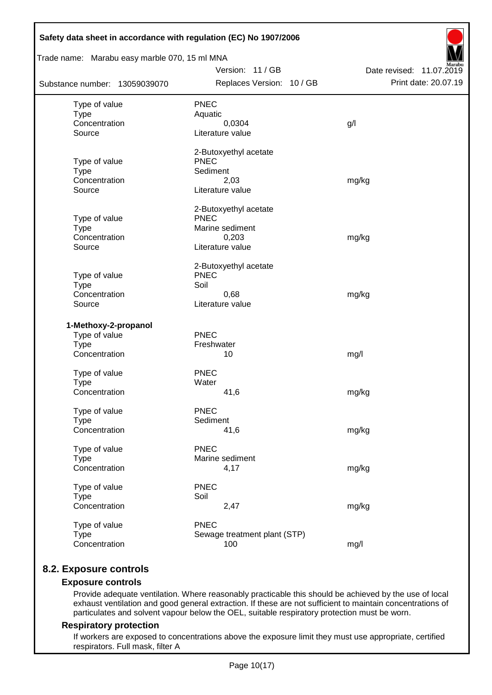| Safety data sheet in accordance with regulation (EC) No 1907/2006<br>Trade name: Marabu easy marble 070, 15 ml MNA |                                      |                          |
|--------------------------------------------------------------------------------------------------------------------|--------------------------------------|--------------------------|
|                                                                                                                    | Version: 11 / GB                     | Date revised: 11.07.2019 |
| Substance number: 13059039070                                                                                      | Replaces Version: 10 / GB            | Print date: 20.07.19     |
| Type of value                                                                                                      | <b>PNEC</b>                          |                          |
| <b>Type</b>                                                                                                        | Aquatic                              |                          |
| Concentration                                                                                                      | 0,0304                               | g/                       |
| Source                                                                                                             | Literature value                     |                          |
|                                                                                                                    | 2-Butoxyethyl acetate                |                          |
| Type of value                                                                                                      | <b>PNEC</b>                          |                          |
| <b>Type</b>                                                                                                        | Sediment                             |                          |
| Concentration                                                                                                      | 2,03                                 | mg/kg                    |
| Source                                                                                                             | Literature value                     |                          |
|                                                                                                                    | 2-Butoxyethyl acetate                |                          |
| Type of value                                                                                                      | <b>PNEC</b>                          |                          |
| <b>Type</b><br>Concentration                                                                                       | Marine sediment                      |                          |
| Source                                                                                                             | 0,203<br>Literature value            | mg/kg                    |
|                                                                                                                    |                                      |                          |
|                                                                                                                    | 2-Butoxyethyl acetate<br><b>PNEC</b> |                          |
| Type of value<br><b>Type</b>                                                                                       | Soil                                 |                          |
| Concentration                                                                                                      | 0,68                                 | mg/kg                    |
| Source                                                                                                             | Literature value                     |                          |
| 1-Methoxy-2-propanol                                                                                               |                                      |                          |
| Type of value                                                                                                      | PNEC                                 |                          |
| <b>Type</b>                                                                                                        | Freshwater                           |                          |
| Concentration                                                                                                      | 10                                   | mg/l                     |
|                                                                                                                    |                                      |                          |
| Type of value                                                                                                      | <b>PNEC</b>                          |                          |
| <b>Type</b>                                                                                                        | Water                                |                          |
| Concentration                                                                                                      | 41,6                                 | mg/kg                    |
| Type of value                                                                                                      | <b>PNEC</b>                          |                          |
| <b>Type</b>                                                                                                        | Sediment                             |                          |
| Concentration                                                                                                      | 41,6                                 | mg/kg                    |
| Type of value                                                                                                      | <b>PNEC</b>                          |                          |
| <b>Type</b>                                                                                                        | Marine sediment                      |                          |
| Concentration                                                                                                      | 4,17                                 | mg/kg                    |
| Type of value                                                                                                      | <b>PNEC</b>                          |                          |
| <b>Type</b>                                                                                                        | Soil                                 |                          |
| Concentration                                                                                                      | 2,47                                 | mg/kg                    |
| Type of value                                                                                                      | <b>PNEC</b>                          |                          |
| <b>Type</b><br>Concentration                                                                                       | Sewage treatment plant (STP)<br>100  | mg/l                     |
|                                                                                                                    |                                      |                          |

## **8.2. Exposure controls**

## **Exposure controls**

Provide adequate ventilation. Where reasonably practicable this should be achieved by the use of local exhaust ventilation and good general extraction. If these are not sufficient to maintain concentrations of particulates and solvent vapour below the OEL, suitable respiratory protection must be worn.

#### **Respiratory protection**

If workers are exposed to concentrations above the exposure limit they must use appropriate, certified respirators. Full mask, filter A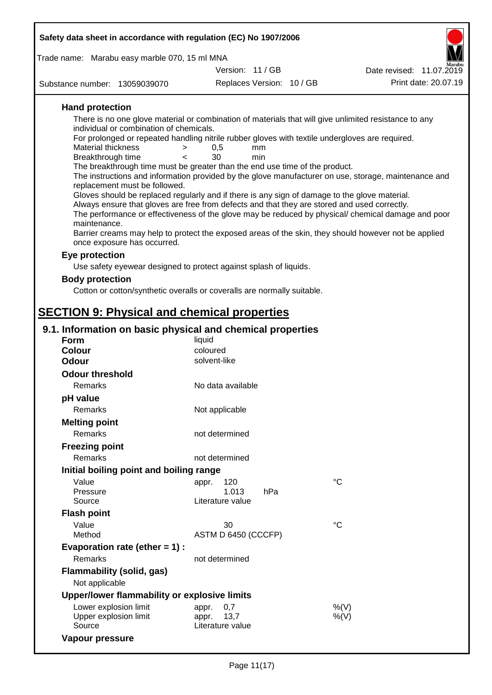| Safety data sheet in accordance with regulation (EC) No 1907/2006                                                                   |                     |                           |                                                                                                    |
|-------------------------------------------------------------------------------------------------------------------------------------|---------------------|---------------------------|----------------------------------------------------------------------------------------------------|
| Trade name: Marabu easy marble 070, 15 ml MNA                                                                                       |                     |                           |                                                                                                    |
|                                                                                                                                     | Version: 11 / GB    |                           | Date revised: 11.07.2019                                                                           |
| Substance number: 13059039070                                                                                                       |                     | Replaces Version: 10 / GB | Print date: 20.07.19                                                                               |
| <b>Hand protection</b>                                                                                                              |                     |                           |                                                                                                    |
| There is no one glove material or combination of materials that will give unlimited resistance to any                               |                     |                           |                                                                                                    |
| individual or combination of chemicals.                                                                                             |                     |                           |                                                                                                    |
| For prolonged or repeated handling nitrile rubber gloves with textile undergloves are required.<br>Material thickness<br>>          | 0,5<br>mm           |                           |                                                                                                    |
| Breakthrough time<br>≺                                                                                                              | 30<br>min           |                           |                                                                                                    |
| The breakthrough time must be greater than the end use time of the product.                                                         |                     |                           |                                                                                                    |
| The instructions and information provided by the glove manufacturer on use, storage, maintenance and                                |                     |                           |                                                                                                    |
| replacement must be followed.<br>Gloves should be replaced regularly and if there is any sign of damage to the glove material.      |                     |                           |                                                                                                    |
| Always ensure that gloves are free from defects and that they are stored and used correctly.                                        |                     |                           |                                                                                                    |
|                                                                                                                                     |                     |                           | The performance or effectiveness of the glove may be reduced by physical/ chemical damage and poor |
| maintenance.                                                                                                                        |                     |                           |                                                                                                    |
| Barrier creams may help to protect the exposed areas of the skin, they should however not be applied<br>once exposure has occurred. |                     |                           |                                                                                                    |
| Eye protection                                                                                                                      |                     |                           |                                                                                                    |
| Use safety eyewear designed to protect against splash of liquids.                                                                   |                     |                           |                                                                                                    |
| <b>Body protection</b>                                                                                                              |                     |                           |                                                                                                    |
| Cotton or cotton/synthetic overalls or coveralls are normally suitable.                                                             |                     |                           |                                                                                                    |
|                                                                                                                                     |                     |                           |                                                                                                    |
| <b>SECTION 9: Physical and chemical properties</b>                                                                                  |                     |                           |                                                                                                    |
|                                                                                                                                     |                     |                           |                                                                                                    |
| 9.1. Information on basic physical and chemical properties<br>Form                                                                  | liquid              |                           |                                                                                                    |
| <b>Colour</b>                                                                                                                       | coloured            |                           |                                                                                                    |
| <b>Odour</b>                                                                                                                        | solvent-like        |                           |                                                                                                    |
| <b>Odour threshold</b>                                                                                                              |                     |                           |                                                                                                    |
| Remarks                                                                                                                             | No data available   |                           |                                                                                                    |
| pH value                                                                                                                            |                     |                           |                                                                                                    |
| Remarks                                                                                                                             | Not applicable      |                           |                                                                                                    |
| <b>Melting point</b>                                                                                                                |                     |                           |                                                                                                    |
| Remarks                                                                                                                             | not determined      |                           |                                                                                                    |
| <b>Freezing point</b>                                                                                                               |                     |                           |                                                                                                    |
| <b>Remarks</b>                                                                                                                      | not determined      |                           |                                                                                                    |
| Initial boiling point and boiling range                                                                                             |                     |                           |                                                                                                    |
| Value                                                                                                                               | 120                 |                           | $^{\circ}C$                                                                                        |
| Pressure                                                                                                                            | appr.<br>1.013      | hPa                       |                                                                                                    |
| Source                                                                                                                              | Literature value    |                           |                                                                                                    |
| <b>Flash point</b>                                                                                                                  |                     |                           |                                                                                                    |
| Value                                                                                                                               | 30                  |                           | $^{\circ}C$                                                                                        |
| Method                                                                                                                              | ASTM D 6450 (CCCFP) |                           |                                                                                                    |
| Evaporation rate (ether $= 1$ ) :                                                                                                   |                     |                           |                                                                                                    |
| Remarks                                                                                                                             | not determined      |                           |                                                                                                    |
| <b>Flammability (solid, gas)</b>                                                                                                    |                     |                           |                                                                                                    |
| Not applicable                                                                                                                      |                     |                           |                                                                                                    |
| Upper/lower flammability or explosive limits                                                                                        |                     |                           |                                                                                                    |
| Lower explosion limit                                                                                                               | 0,7<br>appr.        |                           | %(V)                                                                                               |
| Upper explosion limit                                                                                                               | 13,7<br>appr.       |                           | $%$ (V)                                                                                            |

**Vapour pressure**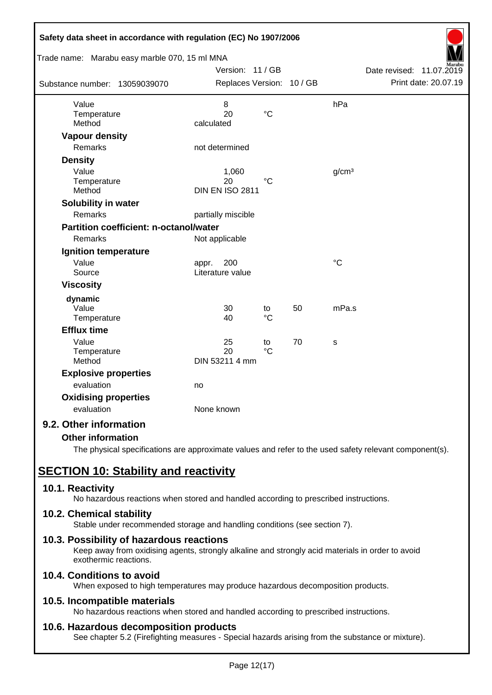| Safety data sheet in accordance with regulation (EC) No 1907/2006 |                                  |                   |    |                   |                             |
|-------------------------------------------------------------------|----------------------------------|-------------------|----|-------------------|-----------------------------|
| Trade name: Marabu easy marble 070, 15 ml MNA                     |                                  |                   |    |                   |                             |
|                                                                   | Version: 11 / GB                 |                   |    |                   | Date revised:<br>11.07.2019 |
| Substance number: 13059039070                                     | Replaces Version: 10 / GB        |                   |    |                   | Print date: 20.07.19        |
| Value                                                             | 8                                |                   |    | hPa               |                             |
| Temperature                                                       | 20                               | $\rm ^{\circ}C$   |    |                   |                             |
| Method                                                            | calculated                       |                   |    |                   |                             |
| <b>Vapour density</b>                                             |                                  |                   |    |                   |                             |
| Remarks                                                           | not determined                   |                   |    |                   |                             |
| <b>Density</b>                                                    |                                  |                   |    |                   |                             |
| Value                                                             | 1,060                            |                   |    | g/cm <sup>3</sup> |                             |
| Temperature<br>Method                                             | 20<br><b>DIN EN ISO 2811</b>     | $\rm ^{\circ}C$   |    |                   |                             |
|                                                                   |                                  |                   |    |                   |                             |
| Solubility in water<br><b>Remarks</b>                             |                                  |                   |    |                   |                             |
|                                                                   | partially miscible               |                   |    |                   |                             |
| <b>Partition coefficient: n-octanol/water</b>                     |                                  |                   |    |                   |                             |
| Remarks                                                           | Not applicable                   |                   |    |                   |                             |
| Ignition temperature                                              |                                  |                   |    |                   |                             |
| Value<br>Source                                                   | 200<br>appr.<br>Literature value |                   |    | $\rm ^{\circ}C$   |                             |
|                                                                   |                                  |                   |    |                   |                             |
| <b>Viscosity</b>                                                  |                                  |                   |    |                   |                             |
| dynamic                                                           |                                  |                   |    |                   |                             |
| Value<br>Temperature                                              | 30<br>40                         | to<br>$^{\circ}C$ | 50 | mPa.s             |                             |
| <b>Efflux time</b>                                                |                                  |                   |    |                   |                             |
| Value                                                             | 25                               |                   | 70 | S                 |                             |
| Temperature                                                       | 20                               | to<br>$^{\circ}C$ |    |                   |                             |
| Method                                                            | DIN 53211 4 mm                   |                   |    |                   |                             |
| <b>Explosive properties</b>                                       |                                  |                   |    |                   |                             |
| evaluation                                                        | no                               |                   |    |                   |                             |
| <b>Oxidising properties</b>                                       |                                  |                   |    |                   |                             |
| evaluation                                                        | None known                       |                   |    |                   |                             |
| 9.2. Other information                                            |                                  |                   |    |                   |                             |

## **Other information**

The physical specifications are approximate values and refer to the used safety relevant component(s).

# **SECTION 10: Stability and reactivity**

## **10.1. Reactivity**

No hazardous reactions when stored and handled according to prescribed instructions.

## **10.2. Chemical stability**

Stable under recommended storage and handling conditions (see section 7).

## **10.3. Possibility of hazardous reactions**

Keep away from oxidising agents, strongly alkaline and strongly acid materials in order to avoid exothermic reactions.

## **10.4. Conditions to avoid**

When exposed to high temperatures may produce hazardous decomposition products.

## **10.5. Incompatible materials**

No hazardous reactions when stored and handled according to prescribed instructions.

## **10.6. Hazardous decomposition products**

See chapter 5.2 (Firefighting measures - Special hazards arising from the substance or mixture).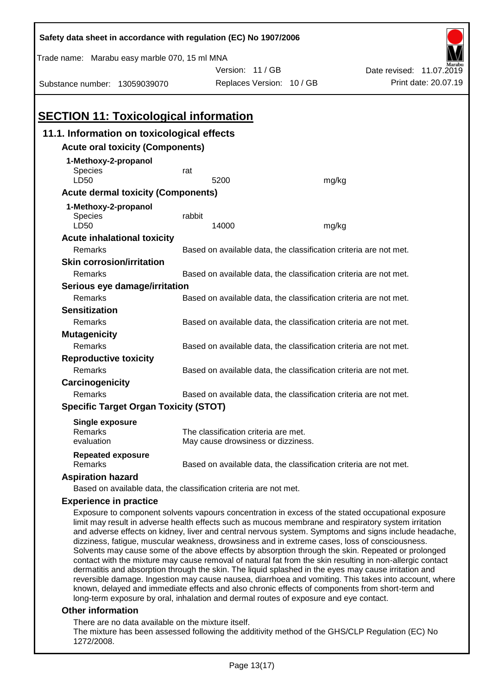| Safety data sheet in accordance with regulation (EC) No 1907/2006                                                                                                                                                                                                                                                                                                                                                                                                                                                                                                                                                                       |                                                                                                   |                                                                   |       |                                                                                                       |
|-----------------------------------------------------------------------------------------------------------------------------------------------------------------------------------------------------------------------------------------------------------------------------------------------------------------------------------------------------------------------------------------------------------------------------------------------------------------------------------------------------------------------------------------------------------------------------------------------------------------------------------------|---------------------------------------------------------------------------------------------------|-------------------------------------------------------------------|-------|-------------------------------------------------------------------------------------------------------|
| Trade name: Marabu easy marble 070, 15 ml MNA                                                                                                                                                                                                                                                                                                                                                                                                                                                                                                                                                                                           |                                                                                                   |                                                                   |       |                                                                                                       |
|                                                                                                                                                                                                                                                                                                                                                                                                                                                                                                                                                                                                                                         |                                                                                                   | Version: 11/GB                                                    |       | Date revised: 11.07.2019                                                                              |
| Substance number: 13059039070                                                                                                                                                                                                                                                                                                                                                                                                                                                                                                                                                                                                           |                                                                                                   | Replaces Version: 10 / GB                                         |       | Print date: 20.07.19                                                                                  |
|                                                                                                                                                                                                                                                                                                                                                                                                                                                                                                                                                                                                                                         |                                                                                                   |                                                                   |       |                                                                                                       |
| <b>SECTION 11: Toxicological information</b>                                                                                                                                                                                                                                                                                                                                                                                                                                                                                                                                                                                            |                                                                                                   |                                                                   |       |                                                                                                       |
| 11.1. Information on toxicological effects                                                                                                                                                                                                                                                                                                                                                                                                                                                                                                                                                                                              |                                                                                                   |                                                                   |       |                                                                                                       |
| <b>Acute oral toxicity (Components)</b>                                                                                                                                                                                                                                                                                                                                                                                                                                                                                                                                                                                                 |                                                                                                   |                                                                   |       |                                                                                                       |
| 1-Methoxy-2-propanol                                                                                                                                                                                                                                                                                                                                                                                                                                                                                                                                                                                                                    |                                                                                                   |                                                                   |       |                                                                                                       |
| Species                                                                                                                                                                                                                                                                                                                                                                                                                                                                                                                                                                                                                                 | rat                                                                                               |                                                                   |       |                                                                                                       |
| LD50                                                                                                                                                                                                                                                                                                                                                                                                                                                                                                                                                                                                                                    |                                                                                                   | 5200                                                              | mg/kg |                                                                                                       |
| <b>Acute dermal toxicity (Components)</b>                                                                                                                                                                                                                                                                                                                                                                                                                                                                                                                                                                                               |                                                                                                   |                                                                   |       |                                                                                                       |
| 1-Methoxy-2-propanol                                                                                                                                                                                                                                                                                                                                                                                                                                                                                                                                                                                                                    |                                                                                                   |                                                                   |       |                                                                                                       |
| Species                                                                                                                                                                                                                                                                                                                                                                                                                                                                                                                                                                                                                                 | rabbit                                                                                            |                                                                   |       |                                                                                                       |
| LD50                                                                                                                                                                                                                                                                                                                                                                                                                                                                                                                                                                                                                                    |                                                                                                   | 14000                                                             | mg/kg |                                                                                                       |
| <b>Acute inhalational toxicity</b>                                                                                                                                                                                                                                                                                                                                                                                                                                                                                                                                                                                                      |                                                                                                   |                                                                   |       |                                                                                                       |
| Remarks                                                                                                                                                                                                                                                                                                                                                                                                                                                                                                                                                                                                                                 |                                                                                                   | Based on available data, the classification criteria are not met. |       |                                                                                                       |
| <b>Skin corrosion/irritation</b>                                                                                                                                                                                                                                                                                                                                                                                                                                                                                                                                                                                                        |                                                                                                   |                                                                   |       |                                                                                                       |
| Remarks                                                                                                                                                                                                                                                                                                                                                                                                                                                                                                                                                                                                                                 |                                                                                                   | Based on available data, the classification criteria are not met. |       |                                                                                                       |
| Serious eye damage/irritation                                                                                                                                                                                                                                                                                                                                                                                                                                                                                                                                                                                                           |                                                                                                   |                                                                   |       |                                                                                                       |
| Remarks                                                                                                                                                                                                                                                                                                                                                                                                                                                                                                                                                                                                                                 |                                                                                                   | Based on available data, the classification criteria are not met. |       |                                                                                                       |
| <b>Sensitization</b>                                                                                                                                                                                                                                                                                                                                                                                                                                                                                                                                                                                                                    |                                                                                                   |                                                                   |       |                                                                                                       |
|                                                                                                                                                                                                                                                                                                                                                                                                                                                                                                                                                                                                                                         | Remarks<br>Based on available data, the classification criteria are not met.                      |                                                                   |       |                                                                                                       |
| Remarks                                                                                                                                                                                                                                                                                                                                                                                                                                                                                                                                                                                                                                 | <b>Mutagenicity</b><br>Based on available data, the classification criteria are not met.          |                                                                   |       |                                                                                                       |
|                                                                                                                                                                                                                                                                                                                                                                                                                                                                                                                                                                                                                                         |                                                                                                   |                                                                   |       |                                                                                                       |
| Remarks                                                                                                                                                                                                                                                                                                                                                                                                                                                                                                                                                                                                                                 | <b>Reproductive toxicity</b><br>Based on available data, the classification criteria are not met. |                                                                   |       |                                                                                                       |
| Carcinogenicity                                                                                                                                                                                                                                                                                                                                                                                                                                                                                                                                                                                                                         |                                                                                                   |                                                                   |       |                                                                                                       |
| Remarks                                                                                                                                                                                                                                                                                                                                                                                                                                                                                                                                                                                                                                 |                                                                                                   |                                                                   |       |                                                                                                       |
| Based on available data, the classification criteria are not met.<br><b>Specific Target Organ Toxicity (STOT)</b>                                                                                                                                                                                                                                                                                                                                                                                                                                                                                                                       |                                                                                                   |                                                                   |       |                                                                                                       |
|                                                                                                                                                                                                                                                                                                                                                                                                                                                                                                                                                                                                                                         |                                                                                                   |                                                                   |       |                                                                                                       |
| <b>Single exposure</b><br>Remarks                                                                                                                                                                                                                                                                                                                                                                                                                                                                                                                                                                                                       |                                                                                                   | The classification criteria are met.                              |       |                                                                                                       |
| evaluation                                                                                                                                                                                                                                                                                                                                                                                                                                                                                                                                                                                                                              |                                                                                                   | May cause drowsiness or dizziness.                                |       |                                                                                                       |
| <b>Repeated exposure</b><br>Remarks                                                                                                                                                                                                                                                                                                                                                                                                                                                                                                                                                                                                     |                                                                                                   | Based on available data, the classification criteria are not met. |       |                                                                                                       |
| <b>Aspiration hazard</b>                                                                                                                                                                                                                                                                                                                                                                                                                                                                                                                                                                                                                |                                                                                                   |                                                                   |       |                                                                                                       |
| Based on available data, the classification criteria are not met.                                                                                                                                                                                                                                                                                                                                                                                                                                                                                                                                                                       |                                                                                                   |                                                                   |       |                                                                                                       |
| <b>Experience in practice</b>                                                                                                                                                                                                                                                                                                                                                                                                                                                                                                                                                                                                           |                                                                                                   |                                                                   |       |                                                                                                       |
| Exposure to component solvents vapours concentration in excess of the stated occupational exposure<br>limit may result in adverse health effects such as mucous membrane and respiratory system irritation<br>dizziness, fatigue, muscular weakness, drowsiness and in extreme cases, loss of consciousness.<br>Solvents may cause some of the above effects by absorption through the skin. Repeated or prolonged<br>contact with the mixture may cause removal of natural fat from the skin resulting in non-allergic contact<br>dermatitis and absorption through the skin. The liquid splashed in the eyes may cause irritation and |                                                                                                   |                                                                   |       | and adverse effects on kidney, liver and central nervous system. Symptoms and signs include headache, |
|                                                                                                                                                                                                                                                                                                                                                                                                                                                                                                                                                                                                                                         |                                                                                                   |                                                                   |       | reversible damage. Ingestion may cause nausea, diarrhoea and vomiting. This takes into account, where |

reversible damage. Ingestion may cause nausea, diarrhoea and vomiting. This takes into account, where known, delayed and immediate effects and also chronic effects of components from short-term and long-term exposure by oral, inhalation and dermal routes of exposure and eye contact.

## **Other information**

There are no data available on the mixture itself.

The mixture has been assessed following the additivity method of the GHS/CLP Regulation (EC) No 1272/2008.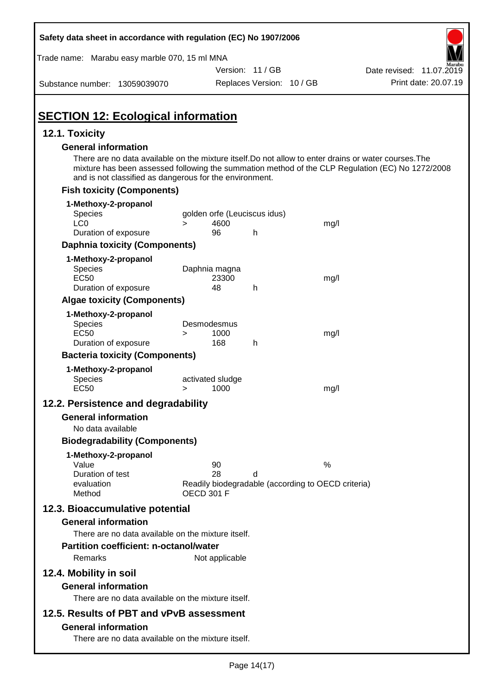| Safety data sheet in accordance with regulation (EC) No 1907/2006                                                                                                                                                                                                                                  |                       |                |                              |                                                    |                          |
|----------------------------------------------------------------------------------------------------------------------------------------------------------------------------------------------------------------------------------------------------------------------------------------------------|-----------------------|----------------|------------------------------|----------------------------------------------------|--------------------------|
| Trade name: Marabu easy marble 070, 15 ml MNA                                                                                                                                                                                                                                                      |                       |                |                              |                                                    |                          |
|                                                                                                                                                                                                                                                                                                    |                       |                | Version: 11 / GB             |                                                    | Date revised: 11.07.2019 |
| Substance number: 13059039070                                                                                                                                                                                                                                                                      |                       |                | Replaces Version: 10 / GB    |                                                    | Print date: 20.07.19     |
| <b>SECTION 12: Ecological information</b>                                                                                                                                                                                                                                                          |                       |                |                              |                                                    |                          |
| 12.1. Toxicity                                                                                                                                                                                                                                                                                     |                       |                |                              |                                                    |                          |
| <b>General information</b><br>There are no data available on the mixture itself. Do not allow to enter drains or water courses. The<br>mixture has been assessed following the summation method of the CLP Regulation (EC) No 1272/2008<br>and is not classified as dangerous for the environment. |                       |                |                              |                                                    |                          |
| <b>Fish toxicity (Components)</b>                                                                                                                                                                                                                                                                  |                       |                |                              |                                                    |                          |
| 1-Methoxy-2-propanol                                                                                                                                                                                                                                                                               |                       |                |                              |                                                    |                          |
| Species                                                                                                                                                                                                                                                                                            |                       |                | golden orfe (Leuciscus idus) |                                                    |                          |
| LC <sub>0</sub><br>Duration of exposure                                                                                                                                                                                                                                                            | $\geq$                | 4600<br>96     | h                            | mg/l                                               |                          |
| <b>Daphnia toxicity (Components)</b>                                                                                                                                                                                                                                                               |                       |                |                              |                                                    |                          |
| 1-Methoxy-2-propanol                                                                                                                                                                                                                                                                               |                       |                |                              |                                                    |                          |
| Species                                                                                                                                                                                                                                                                                            | Daphnia magna         |                |                              |                                                    |                          |
| <b>EC50</b>                                                                                                                                                                                                                                                                                        |                       | 23300          |                              | mg/l                                               |                          |
| Duration of exposure                                                                                                                                                                                                                                                                               |                       | 48             | h                            |                                                    |                          |
| <b>Algae toxicity (Components)</b>                                                                                                                                                                                                                                                                 |                       |                |                              |                                                    |                          |
| 1-Methoxy-2-propanol<br>Species                                                                                                                                                                                                                                                                    | Desmodesmus           |                |                              |                                                    |                          |
| <b>EC50</b>                                                                                                                                                                                                                                                                                        | >                     | 1000           |                              | mg/l                                               |                          |
| Duration of exposure                                                                                                                                                                                                                                                                               |                       | 168            | h                            |                                                    |                          |
| <b>Bacteria toxicity (Components)</b>                                                                                                                                                                                                                                                              |                       |                |                              |                                                    |                          |
| 1-Methoxy-2-propanol<br>Species<br><b>EC50</b>                                                                                                                                                                                                                                                     | activated sludge<br>> | 1000           |                              | mg/l                                               |                          |
| 12.2. Persistence and degradability                                                                                                                                                                                                                                                                |                       |                |                              |                                                    |                          |
| <b>General information</b>                                                                                                                                                                                                                                                                         |                       |                |                              |                                                    |                          |
| No data available                                                                                                                                                                                                                                                                                  |                       |                |                              |                                                    |                          |
| <b>Biodegradability (Components)</b>                                                                                                                                                                                                                                                               |                       |                |                              |                                                    |                          |
| 1-Methoxy-2-propanol                                                                                                                                                                                                                                                                               |                       |                |                              |                                                    |                          |
| Value                                                                                                                                                                                                                                                                                              |                       | 90             |                              | $\%$                                               |                          |
| Duration of test<br>evaluation                                                                                                                                                                                                                                                                     |                       | 28             | d                            | Readily biodegradable (according to OECD criteria) |                          |
| Method                                                                                                                                                                                                                                                                                             | <b>OECD 301 F</b>     |                |                              |                                                    |                          |
| 12.3. Bioaccumulative potential                                                                                                                                                                                                                                                                    |                       |                |                              |                                                    |                          |
| <b>General information</b>                                                                                                                                                                                                                                                                         |                       |                |                              |                                                    |                          |
| There are no data available on the mixture itself.                                                                                                                                                                                                                                                 |                       |                |                              |                                                    |                          |
| <b>Partition coefficient: n-octanol/water</b>                                                                                                                                                                                                                                                      |                       |                |                              |                                                    |                          |
| Remarks                                                                                                                                                                                                                                                                                            |                       | Not applicable |                              |                                                    |                          |
| 12.4. Mobility in soil                                                                                                                                                                                                                                                                             |                       |                |                              |                                                    |                          |
| <b>General information</b>                                                                                                                                                                                                                                                                         |                       |                |                              |                                                    |                          |
| There are no data available on the mixture itself.                                                                                                                                                                                                                                                 |                       |                |                              |                                                    |                          |
| 12.5. Results of PBT and vPvB assessment                                                                                                                                                                                                                                                           |                       |                |                              |                                                    |                          |
| <b>General information</b>                                                                                                                                                                                                                                                                         |                       |                |                              |                                                    |                          |
| There are no data available on the mixture itself.                                                                                                                                                                                                                                                 |                       |                |                              |                                                    |                          |
|                                                                                                                                                                                                                                                                                                    |                       |                |                              |                                                    |                          |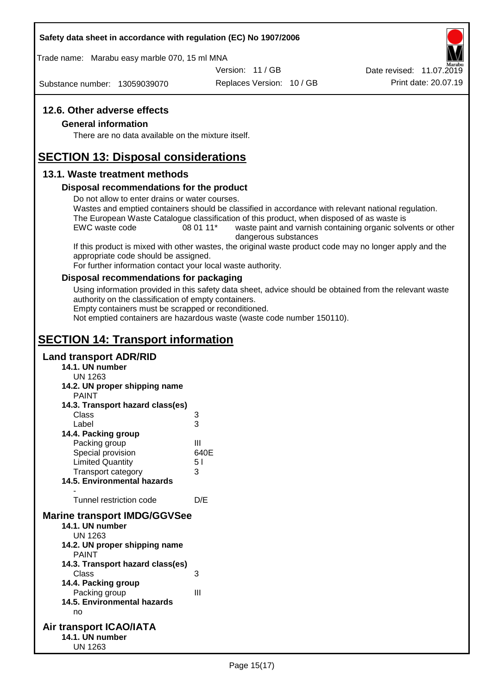#### **Safety data sheet in accordance with regulation (EC) No 1907/2006**

Trade name: Marabu easy marble 070, 15 ml MNA

Version: 11 / GB

Substance number: 13059039070

Replaces Version: 10 / GB Print date: 20.07.19 Date revised: 11.07.2019

## **12.6. Other adverse effects**

#### **General information**

There are no data available on the mixture itself.

# **SECTION 13: Disposal considerations**

## **13.1. Waste treatment methods**

#### **Disposal recommendations for the product**

Do not allow to enter drains or water courses.

Wastes and emptied containers should be classified in accordance with relevant national regulation. The European Waste Catalogue classification of this product, when disposed of as waste is

EWC waste code 08 01 11<sup>\*</sup> waste paint and varnish containing organic solvents or other dangerous substances

If this product is mixed with other wastes, the original waste product code may no longer apply and the appropriate code should be assigned.

For further information contact your local waste authority.

#### **Disposal recommendations for packaging**

Using information provided in this safety data sheet, advice should be obtained from the relevant waste authority on the classification of empty containers.

Empty containers must be scrapped or reconditioned.

Not emptied containers are hazardous waste (waste code number 150110).

# **SECTION 14: Transport information**

## **Land transport ADR/RID**

- **14.1. UN number**
	- UN 1263
- **14.2. UN proper shipping name**

| <b>PAINT</b>                        |      |
|-------------------------------------|------|
| 14.3. Transport hazard class(es)    |      |
| Class                               | 3    |
| Label                               | 3    |
| 14.4. Packing group                 |      |
| Packing group                       | Ш    |
| Special provision                   | 640E |
| <b>Limited Quantity</b>             | 51   |
| <b>Transport category</b>           | 3    |
| 14.5. Environmental hazards         |      |
|                                     |      |
| Tunnel restriction code             | D/E  |
| <b>Marine transport IMDG/GGVSee</b> |      |
| 14.1. UN number                     |      |
| UN 1263                             |      |
| 14.2. UN proper shipping name       |      |
| <b>PAINT</b>                        |      |
| 14.3. Transport hazard class(es)    |      |
| Class                               | 3    |
| 14.4. Packing group                 |      |
|                                     |      |

Packing group III **14.5. Environmental hazards** no

#### **Air transport ICAO/IATA 14.1. UN number** UN 1263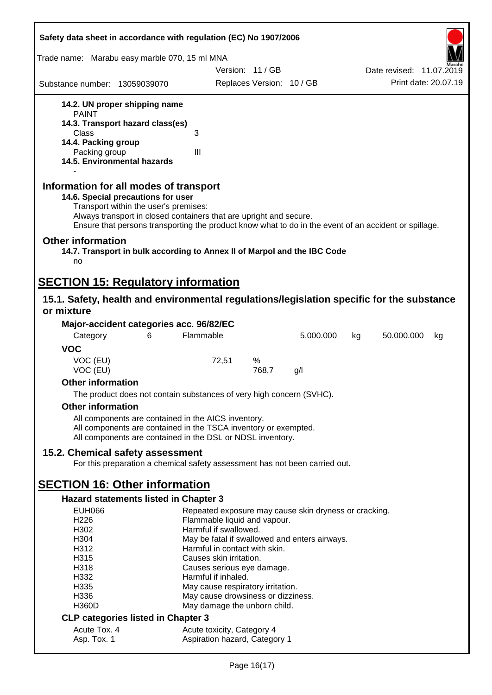| Safety data sheet in accordance with regulation (EC) No 1907/2006                                                                                                                                                                                                                                    |                                                                         |                           |           |                          |
|------------------------------------------------------------------------------------------------------------------------------------------------------------------------------------------------------------------------------------------------------------------------------------------------------|-------------------------------------------------------------------------|---------------------------|-----------|--------------------------|
| Trade name: Marabu easy marble 070, 15 ml MNA                                                                                                                                                                                                                                                        |                                                                         |                           |           |                          |
|                                                                                                                                                                                                                                                                                                      | Version: 11/GB                                                          |                           |           | Date revised: 11.07.2019 |
| Substance number: 13059039070                                                                                                                                                                                                                                                                        |                                                                         | Replaces Version: 10 / GB |           | Print date: 20.07.19     |
| 14.2. UN proper shipping name                                                                                                                                                                                                                                                                        |                                                                         |                           |           |                          |
| <b>PAINT</b><br>14.3. Transport hazard class(es)                                                                                                                                                                                                                                                     |                                                                         |                           |           |                          |
| Class                                                                                                                                                                                                                                                                                                | 3                                                                       |                           |           |                          |
| 14.4. Packing group                                                                                                                                                                                                                                                                                  |                                                                         |                           |           |                          |
| Packing group<br>14.5. Environmental hazards                                                                                                                                                                                                                                                         | III                                                                     |                           |           |                          |
| Information for all modes of transport<br>14.6. Special precautions for user<br>Transport within the user's premises:<br>Always transport in closed containers that are upright and secure.<br>Ensure that persons transporting the product know what to do in the event of an accident or spillage. |                                                                         |                           |           |                          |
| <b>Other information</b><br>14.7. Transport in bulk according to Annex II of Marpol and the IBC Code<br>no                                                                                                                                                                                           |                                                                         |                           |           |                          |
| <b>SECTION 15: Regulatory information</b>                                                                                                                                                                                                                                                            |                                                                         |                           |           |                          |
| 15.1. Safety, health and environmental regulations/legislation specific for the substance                                                                                                                                                                                                            |                                                                         |                           |           |                          |
| or mixture                                                                                                                                                                                                                                                                                           |                                                                         |                           |           |                          |
| Major-accident categories acc. 96/82/EC                                                                                                                                                                                                                                                              |                                                                         |                           |           |                          |
| Category<br>6                                                                                                                                                                                                                                                                                        | Flammable                                                               |                           | 5.000.000 | 50.000.000<br>kg<br>kg   |
| <b>VOC</b>                                                                                                                                                                                                                                                                                           |                                                                         |                           |           |                          |
| VOC (EU)<br>VOC (EU)                                                                                                                                                                                                                                                                                 | 72,51                                                                   | %<br>768,7                | g/        |                          |
| <b>Other information</b>                                                                                                                                                                                                                                                                             |                                                                         |                           |           |                          |
| The product does not contain substances of very high concern (SVHC).                                                                                                                                                                                                                                 |                                                                         |                           |           |                          |
| <b>Other information</b>                                                                                                                                                                                                                                                                             |                                                                         |                           |           |                          |
| All components are contained in the AICS inventory.<br>All components are contained in the TSCA inventory or exempted.<br>All components are contained in the DSL or NDSL inventory.                                                                                                                 |                                                                         |                           |           |                          |
| 15.2. Chemical safety assessment                                                                                                                                                                                                                                                                     |                                                                         |                           |           |                          |
| For this preparation a chemical safety assessment has not been carried out.                                                                                                                                                                                                                          |                                                                         |                           |           |                          |
| <b>SECTION 16: Other information</b>                                                                                                                                                                                                                                                                 |                                                                         |                           |           |                          |
| Hazard statements listed in Chapter 3                                                                                                                                                                                                                                                                |                                                                         |                           |           |                          |
| <b>EUH066</b>                                                                                                                                                                                                                                                                                        | Repeated exposure may cause skin dryness or cracking.                   |                           |           |                          |
| H <sub>226</sub>                                                                                                                                                                                                                                                                                     | Flammable liquid and vapour.<br>Harmful if swallowed.                   |                           |           |                          |
| H302<br>H304                                                                                                                                                                                                                                                                                         | May be fatal if swallowed and enters airways.                           |                           |           |                          |
| H312                                                                                                                                                                                                                                                                                                 | Harmful in contact with skin.                                           |                           |           |                          |
| H315                                                                                                                                                                                                                                                                                                 | Causes skin irritation.                                                 |                           |           |                          |
| H318                                                                                                                                                                                                                                                                                                 | Causes serious eye damage.                                              |                           |           |                          |
| H332                                                                                                                                                                                                                                                                                                 | Harmful if inhaled.                                                     |                           |           |                          |
| H335<br>H336                                                                                                                                                                                                                                                                                         | May cause respiratory irritation.<br>May cause drowsiness or dizziness. |                           |           |                          |
| <b>H360D</b>                                                                                                                                                                                                                                                                                         | May damage the unborn child.                                            |                           |           |                          |
| <b>CLP categories listed in Chapter 3</b>                                                                                                                                                                                                                                                            |                                                                         |                           |           |                          |
| Acute Tox. 4                                                                                                                                                                                                                                                                                         | Acute toxicity, Category 4                                              |                           |           |                          |
| Asp. Tox. 1                                                                                                                                                                                                                                                                                          | Aspiration hazard, Category 1                                           |                           |           |                          |